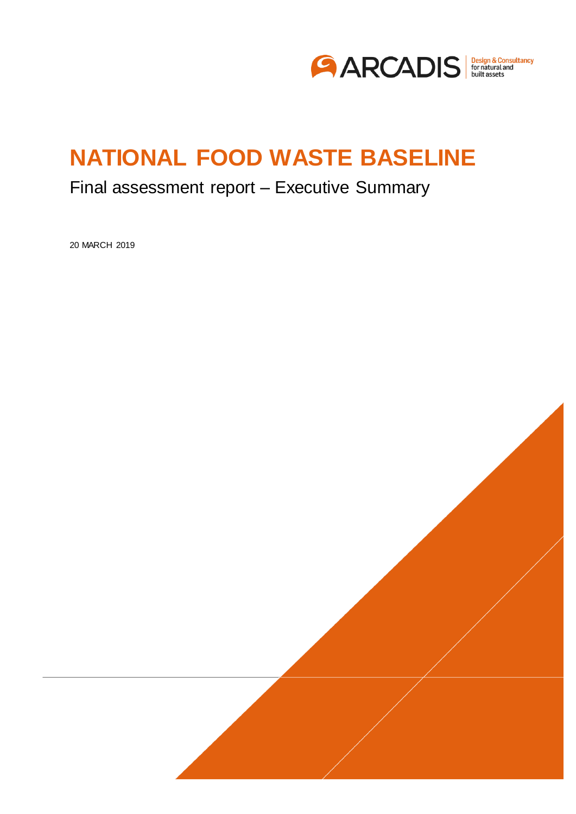

## Final assessment report – Executive Summary

20 MARCH 2019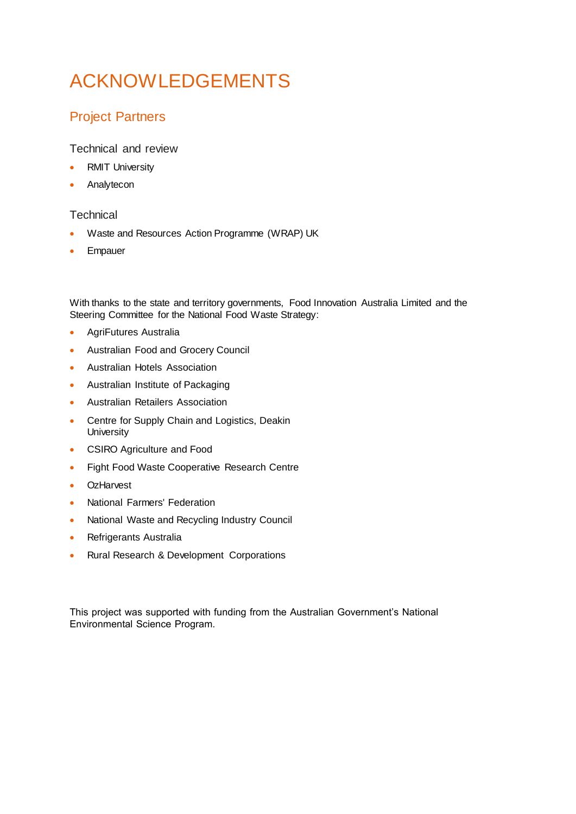# ACKNOWLEDGEMENTS

### Project Partners

Technical and review

- RMIT University
- Analytecon

### **Technical**

- Waste and Resources Action Programme (WRAP) UK
- **•** Empauer

With thanks to the state and territory governments, Food Innovation Australia Limited and the Steering Committee for the National Food Waste Strategy:

- AgriFutures Australia
- Australian Food and Grocery Council
- Australian Hotels Association
- Australian Institute of Packaging
- Australian Retailers Association
- Centre for Supply Chain and Logistics, Deakin **University**
- CSIRO Agriculture and Food
- Fight Food Waste Cooperative Research Centre
- OzHarvest
- National Farmers' Federation
- National Waste and Recycling Industry Council
- Refrigerants Australia
- Rural Research & Development Corporations

This project was supported with funding from the Australian Government's National Environmental Science Program.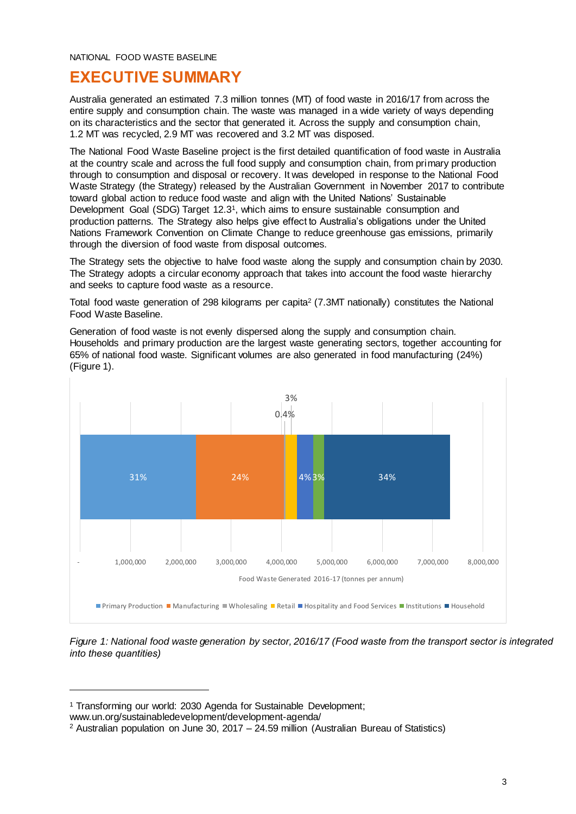## **EXECUTIVE SUMMARY**

Australia generated an estimated 7.3 million tonnes (MT) of food waste in 2016/17 from across the entire supply and consumption chain. The waste was managed in a wide variety of ways depending on its characteristics and the sector that generated it. Across the supply and consumption chain, 1.2 MT was recycled, 2.9 MT was recovered and 3.2 MT was disposed.

The National Food Waste Baseline project is the first detailed quantification of food waste in Australia at the country scale and across the full food supply and consumption chain, from primary production through to consumption and disposal or recovery. It was developed in response to the National Food Waste Strategy (the Strategy) released by the Australian Government in November 2017 to contribute toward global action to reduce food waste and align with the United Nations' Sustainable Development Goal (SDG) Target 12.3<sup>1</sup>, which aims to ensure sustainable consumption and production patterns. The Strategy also helps give effect to Australia's obligations under the United Nations Framework Convention on Climate Change to reduce greenhouse gas emissions, primarily through the diversion of food waste from disposal outcomes.

The Strategy sets the objective to halve food waste along the supply and consumption chain by 2030. The Strategy adopts a circular economy approach that takes into account the food waste hierarchy and seeks to capture food waste as a resource.

Total food waste generation of 298 kilograms per capita<sup>2</sup> (7.3MT nationally) constitutes the National Food Waste Baseline.

Generation of food waste is not evenly dispersed along the supply and consumption chain. Households and primary production are the largest waste generating sectors, together accounting for 65% of national food waste. Significant volumes are also generated in food manufacturing (24%) [\(Figure 1\)](#page-2-0).



<span id="page-2-0"></span>*Figure 1: National food waste generation by sector, 2016/17 (Food waste from the transport sector is integrated into these quantities)* 

www.un.org/sustainabledevelopment/development-agenda/

<sup>1</sup> Transforming our world: 2030 Agenda for Sustainable Development;

<sup>2</sup> Australian population on June 30, 2017 – 24.59 million (Australian Bureau of Statistics)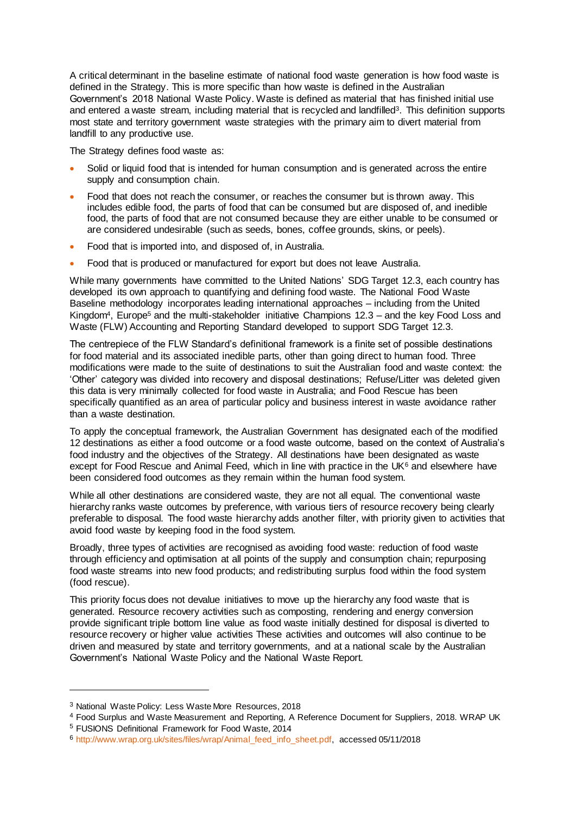A critical determinant in the baseline estimate of national food waste generation is how food waste is defined in the Strategy. This is more specific than how waste is defined in the Australian Government's 2018 National Waste Policy. Waste is defined as material that has finished initial use and entered a waste stream, including material that is recycled and landfilled<sup>3</sup>. This definition supports most state and territory government waste strategies with the primary aim to divert material from landfill to any productive use.

The Strategy defines food waste as:

- Solid or liquid food that is intended for human consumption and is generated across the entire supply and consumption chain.
- Food that does not reach the consumer, or reaches the consumer but is thrown away. This includes edible food, the parts of food that can be consumed but are disposed of, and inedible food, the parts of food that are not consumed because they are either unable to be consumed or are considered undesirable (such as seeds, bones, coffee grounds, skins, or peels).
- Food that is imported into, and disposed of, in Australia.
- Food that is produced or manufactured for export but does not leave Australia.

While many governments have committed to the United Nations' SDG Target 12.3, each country has developed its own approach to quantifying and defining food waste. The National Food Waste Baseline methodology incorporates leading international approaches – including from the United Kingdom<sup>4</sup>, Europe<sup>5</sup> and the multi-stakeholder initiative Champions 12.3 – and the key Food Loss and Waste (FLW) Accounting and Reporting Standard developed to support SDG Target 12.3.

The centrepiece of the FLW Standard's definitional framework is a finite set of possible destinations for food material and its associated inedible parts, other than going direct to human food. Three modifications were made to the suite of destinations to suit the Australian food and waste context: the 'Other' category was divided into recovery and disposal destinations; Refuse/Litter was deleted given this data is very minimally collected for food waste in Australia; and Food Rescue has been specifically quantified as an area of particular policy and business interest in waste avoidance rather than a waste destination.

To apply the conceptual framework, the Australian Government has designated each of the modified 12 destinations as either a food outcome or a food waste outcome, based on the context of Australia's food industry and the objectives of the Strategy. All destinations have been designated as waste except for Food Rescue and Animal Feed, which in line with practice in the UK $<sup>6</sup>$  and elsewhere have</sup> been considered food outcomes as they remain within the human food system.

While all other destinations are considered waste, they are not all equal. The conventional waste hierarchy ranks waste outcomes by preference, with various tiers of resource recovery being clearly preferable to disposal. The food waste hierarchy adds another filter, with priority given to activities that avoid food waste by keeping food in the food system.

Broadly, three types of activities are recognised as avoiding food waste: reduction of food waste through efficiency and optimisation at all points of the supply and consumption chain; repurposing food waste streams into new food products; and redistributing surplus food within the food system (food rescue).

This priority focus does not devalue initiatives to move up the hierarchy any food waste that is generated. Resource recovery activities such as composting, rendering and energy conversion provide significant triple bottom line value as food waste initially destined for disposal is diverted to resource recovery or higher value activities These activities and outcomes will also continue to be driven and measured by state and territory governments, and at a national scale by the Australian Government's National Waste Policy and the National Waste Report.

l

<sup>3</sup> National Waste Policy: Less Waste More Resources, 2018

<sup>4</sup> Food Surplus and Waste Measurement and Reporting, A Reference Document for Suppliers, 2018. WRAP UK <sup>5</sup> FUSIONS Definitional Framework for Food Waste, 2014

<sup>6</sup> [http://www.wrap.org.uk/sites/files/wrap/Animal\\_feed\\_info\\_sheet.pdf,](http://www.wrap.org.uk/sites/files/wrap/Animal_feed_info_sheet.pdf) accessed 05/11/2018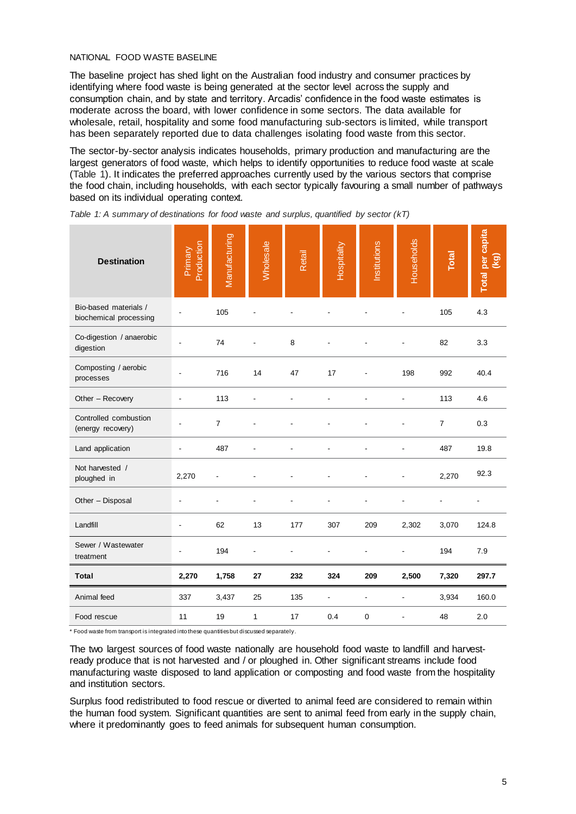The baseline project has shed light on the Australian food industry and consumer practices by identifying where food waste is being generated at the sector level across the supply and consumption chain, and by state and territory. Arcadis' confidence in the food waste estimates is moderate across the board, with lower confidence in some sectors. The data available for wholesale, retail, hospitality and some food manufacturing sub-sectors is limited, while transport has been separately reported due to data challenges isolating food waste from this sector.

The sector-by-sector analysis indicates households, primary production and manufacturing are the largest generators of food waste, which helps to identify opportunities to reduce food waste at scale [\(Table 1\)](#page-4-0). It indicates the preferred approaches currently used by the various sectors that comprise the food chain, including households, with each sector typically favouring a small number of pathways based on its individual operating context.

| <b>Destination</b>                              | Production<br>Primary | Manufacturing  | <b>Wholesale</b> | Retail | Hospitality | Institutions   | Households | Total          | <b>Total per capita</b><br>$\overline{8}$ |
|-------------------------------------------------|-----------------------|----------------|------------------|--------|-------------|----------------|------------|----------------|-------------------------------------------|
| Bio-based materials /<br>biochemical processing |                       | 105            |                  |        |             |                |            | 105            | 4.3                                       |
| Co-digestion / anaerobic<br>digestion           |                       | 74             |                  | 8      |             |                |            | 82             | 3.3                                       |
| Composting / aerobic<br>processes               |                       | 716            | 14               | 47     | 17          |                | 198        | 992            | 40.4                                      |
| Other - Recovery                                | ä,                    | 113            |                  |        |             |                |            | 113            | 4.6                                       |
| Controlled combustion<br>(energy recovery)      |                       | $\overline{7}$ |                  |        |             |                |            | $\overline{7}$ | 0.3                                       |
| Land application                                |                       | 487            |                  |        |             |                |            | 487            | 19.8                                      |
| Not harvested /<br>ploughed in                  | 2,270                 |                |                  |        |             |                |            | 2,270          | 92.3                                      |
| Other - Disposal                                |                       |                |                  |        |             |                |            |                |                                           |
| Landfill                                        |                       | 62             | 13               | 177    | 307         | 209            | 2,302      | 3,070          | 124.8                                     |
| Sewer / Wastewater<br>treatment                 |                       | 194            | ٠                |        |             |                | ÷          | 194            | 7.9                                       |
| <b>Total</b>                                    | 2,270                 | 1,758          | 27               | 232    | 324         | 209            | 2,500      | 7,320          | 297.7                                     |
| Animal feed                                     | 337                   | 3,437          | 25               | 135    | ÷           | $\overline{a}$ | ä,         | 3,934          | 160.0                                     |
| Food rescue                                     | 11                    | 19             | 1                | 17     | 0.4         | $\mathbf 0$    |            | 48             | 2.0                                       |

<span id="page-4-0"></span>

| Table 1: A summary of destinations for food waste and surplus, quantified by sector (kT) |  |  |  |  |  |  |
|------------------------------------------------------------------------------------------|--|--|--|--|--|--|
|------------------------------------------------------------------------------------------|--|--|--|--|--|--|

\* Food waste from transport is integrated into these quantities but discussed separately.

The two largest sources of food waste nationally are household food waste to landfill and harvestready produce that is not harvested and / or ploughed in. Other significant streams include food manufacturing waste disposed to land application or composting and food waste from the hospitality and institution sectors.

Surplus food redistributed to food rescue or diverted to animal feed are considered to remain within the human food system. Significant quantities are sent to animal feed from early in the supply chain, where it predominantly goes to feed animals for subsequent human consumption.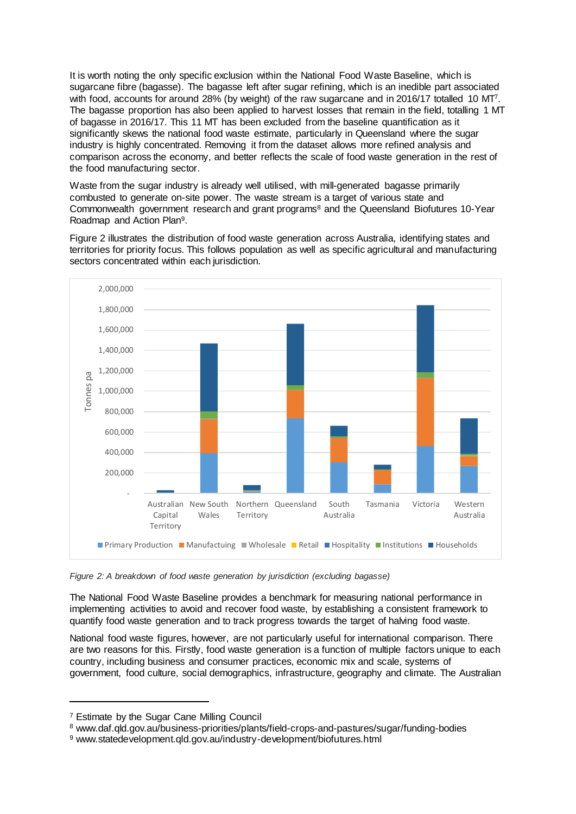It is worth noting the only specific exclusion within the National Food Waste Baseline, which is sugarcane fibre (bagasse). The bagasse left after sugar refining, which is an inedible part associated with food, accounts for around 28% (by weight) of the raw sugarcane and in 2016/17 totalled 10 MT<sup>7</sup>. The bagasse proportion has also been applied to harvest losses that remain in the field, totalling 1 MT of bagasse in 2016/17. This 11 MT has been excluded from the baseline quantification as it significantly skews the national food waste estimate, particularly in Queensland where the sugar industry is highly concentrated. Removing it from the dataset allows more refined analysis and comparison across the economy, and better reflects the scale of food waste generation in the rest of the food manufacturing sector.

Waste from the sugar industry is already well utilised, with mill-generated bagasse primarily combusted to generate on-site power. The waste stream is a target of various state and Commonwealth government research and grant programs<sup>8</sup> and the Queensland Biofutures 10-Year Roadmap and Action Plan<sup>9</sup>.

[Figure 2](#page-5-0) illustrates the distribution of food waste generation across Australia, identifying states and territories for priority focus. This follows population as well as specific agricultural and manufacturing sectors concentrated within each jurisdiction.



<span id="page-5-0"></span>*Figure 2: A breakdown of food waste generation by jurisdiction (excluding bagasse)*

The National Food Waste Baseline provides a benchmark for measuring national performance in implementing activities to avoid and recover food waste, by establishing a consistent framework to quantify food waste generation and to track progress towards the target of halving food waste.

National food waste figures, however, are not particularly useful for international comparison. There are two reasons for this. Firstly, food waste generation is a function of multiple factors unique to each country, including business and consumer practices, economic mix and scale, systems of government, food culture, social demographics, infrastructure, geography and climate. The Australian

l

<sup>8</sup> www.daf.qld.gov.au/business-priorities/plants/field-crops-and-pastures/sugar/funding-bodies

<sup>7</sup> Estimate by the Sugar Cane Milling Council

<sup>9</sup> www.statedevelopment.qld.gov.au/industry-development/biofutures.html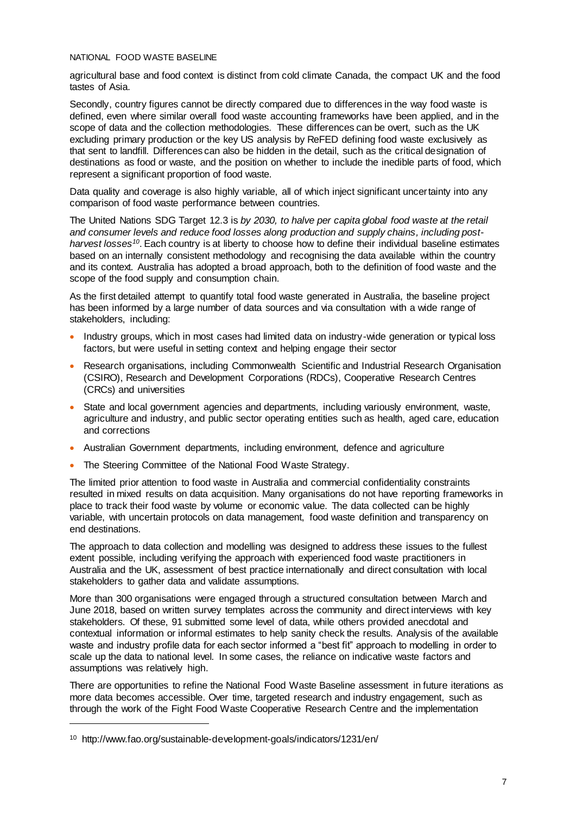agricultural base and food context is distinct from cold climate Canada, the compact UK and the food tastes of Asia.

Secondly, country figures cannot be directly compared due to differences in the way food waste is defined, even where similar overall food waste accounting frameworks have been applied, and in the scope of data and the collection methodologies. These differences can be overt, such as the UK excluding primary production or the key US analysis by ReFED defining food waste exclusively as that sent to landfill. Differences can also be hidden in the detail, such as the critical designation of destinations as food or waste, and the position on whether to include the inedible parts of food, which represent a significant proportion of food waste.

Data quality and coverage is also highly variable, all of which inject significant uncertainty into any comparison of food waste performance between countries.

The United Nations SDG Target 12.3 is *by 2030, to halve per capita global food waste at the retail and consumer levels and reduce food losses along production and supply chains, including postharvest losses<sup>10</sup>*. Each country is at liberty to choose how to define their individual baseline estimates based on an internally consistent methodology and recognising the data available within the country and its context. Australia has adopted a broad approach, both to the definition of food waste and the scope of the food supply and consumption chain.

As the first detailed attempt to quantify total food waste generated in Australia, the baseline project has been informed by a large number of data sources and via consultation with a wide range of stakeholders, including:

- Industry groups, which in most cases had limited data on industry-wide generation or typical loss factors, but were useful in setting context and helping engage their sector
- Research organisations, including Commonwealth Scientific and Industrial Research Organisation (CSIRO), Research and Development Corporations (RDCs), Cooperative Research Centres (CRCs) and universities
- State and local government agencies and departments, including variously environment, waste, agriculture and industry, and public sector operating entities such as health, aged care, education and corrections
- Australian Government departments, including environment, defence and agriculture
- The Steering Committee of the National Food Waste Strategy.

The limited prior attention to food waste in Australia and commercial confidentiality constraints resulted in mixed results on data acquisition. Many organisations do not have reporting frameworks in place to track their food waste by volume or economic value. The data collected can be highly variable, with uncertain protocols on data management, food waste definition and transparency on end destinations.

The approach to data collection and modelling was designed to address these issues to the fullest extent possible, including verifying the approach with experienced food waste practitioners in Australia and the UK, assessment of best practice internationally and direct consultation with local stakeholders to gather data and validate assumptions.

More than 300 organisations were engaged through a structured consultation between March and June 2018, based on written survey templates across the community and direct interviews with key stakeholders. Of these, 91 submitted some level of data, while others provided anecdotal and contextual information or informal estimates to help sanity check the results. Analysis of the available waste and industry profile data for each sector informed a "best fit" approach to modelling in order to scale up the data to national level. In some cases, the reliance on indicative waste factors and assumptions was relatively high.

There are opportunities to refine the National Food Waste Baseline assessment in future iterations as more data becomes accessible. Over time, targeted research and industry engagement, such as through the work of the Fight Food Waste Cooperative Research Centre and the implementation

l

<sup>10</sup> http://www.fao.org/sustainable-development-goals/indicators/1231/en/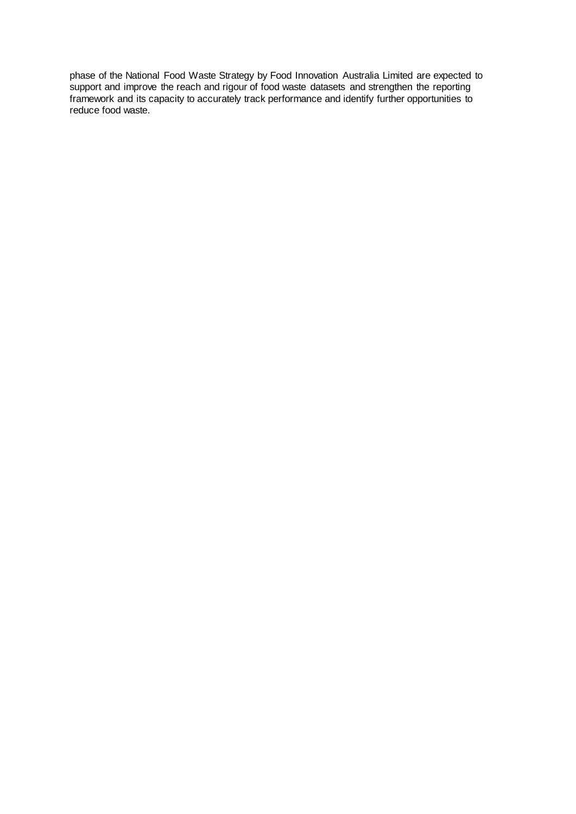phase of the National Food Waste Strategy by Food Innovation Australia Limited are expected to support and improve the reach and rigour of food waste datasets and strengthen the reporting framework and its capacity to accurately track performance and identify further opportunities to reduce food waste.